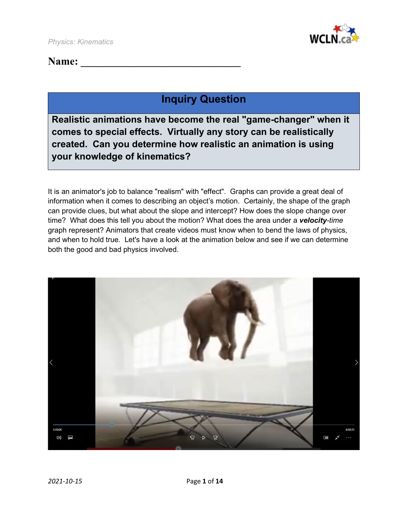

## Name:

# **Inquiry Question**

**Realistic animations have become the real "game-changer" when it comes to special effects. Virtually any story can be realistically created. Can you determine how realistic an animation is using your knowledge of kinematics?**

It is an animator's job to balance "realism" with "effect". Graphs can provide a great deal of information when it comes to describing an object's motion. Certainly, the shape of the graph can provide clues, but what about the slope and intercept? How does the slope change over time? What does this tell you about the motion? What does the area under a *velocity-time* graph represent? Animators that create videos must know when to bend the laws of physics, and when to hold true. Let's have a look at the animation below and see if we can determine both the good and bad physics involved.

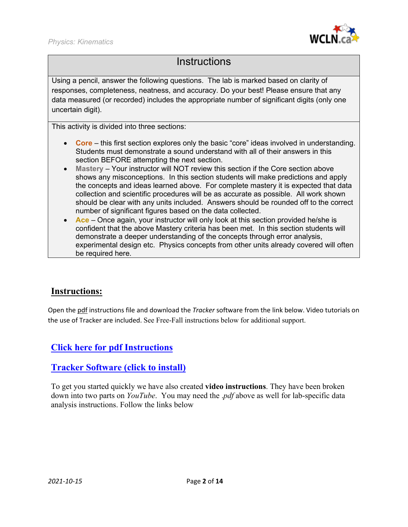

## **Instructions**

Using a pencil, answer the following questions. The lab is marked based on clarity of responses, completeness, neatness, and accuracy. Do your best! Please ensure that any data measured (or recorded) includes the appropriate number of significant digits (only one uncertain digit).

This activity is divided into three sections:

- **Core** this first section explores only the basic "core" ideas involved in understanding. Students must demonstrate a sound understand with all of their answers in this section BEFORE attempting the next section.
- **Mastery** Your instructor will NOT review this section if the Core section above shows any misconceptions. In this section students will make predictions and apply the concepts and ideas learned above. For complete mastery it is expected that data collection and scientific procedures will be as accurate as possible. All work shown should be clear with any units included. Answers should be rounded off to the correct number of significant figures based on the data collected.
- **Ace** Once again, your instructor will only look at this section provided he/she is confident that the above Mastery criteria has been met. In this section students will demonstrate a deeper understanding of the concepts through error analysis, experimental design etc. Physics concepts from other units already covered will often be required here.

### **Instructions:**

Open the pdf instructions file and download the *Tracker* software from the link below. Video tutorials on the use of Tracker are included. See Free-Fall instructions below for additional support.

## **[Click here for pdf Instructions](https://wcln.ca/_LOR/projects/ph/Instructions/Kinematics_Free-Fall_Lab_Instructions.pdf)**

### **[Tracker Software \(click to install\)](https://physlets.org/tracker/)**

To get you started quickly we have also created **video instructions**. They have been broken down into two parts on *YouTube*. You may need the .*pdf* above as well for lab-specific data analysis instructions. Follow the links below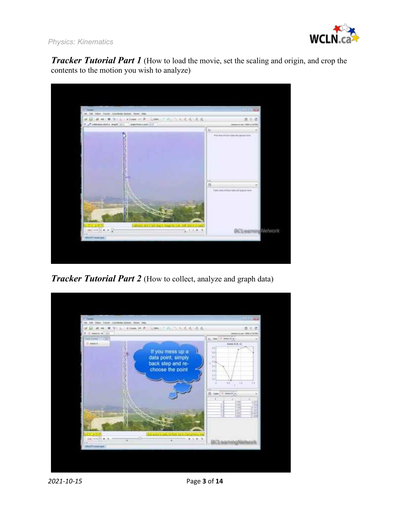

*Physics: Kinematics*

*Tracker Tutorial Part 1* (How to load the movie, set the scaling and origin, and crop the contents to the motion you wish to analyze)



*Tracker Tutorial Part 2* (How to collect, analyze and graph data)

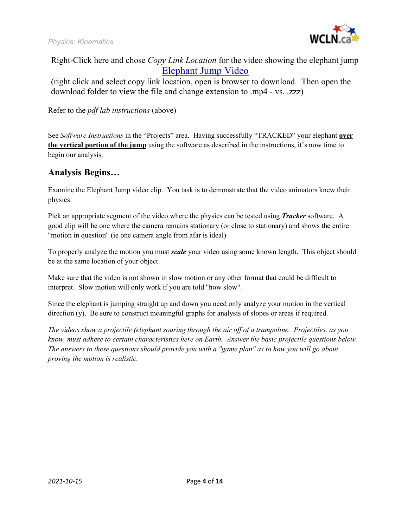

### Right-Click here and chose *Copy Link Location* for the video showing the elephant jump [Elephant Jump](https://wcln.ca/_LOR/projects/ph/VIDEO_SAMPLES/elephantjumptrampolineonly.zzz) Video

(right click and select copy link location, open is browser to download. Then open the download folder to view the file and change extension to .mp4 - vs. .zzz)

Refer to the *pdf lab instructions* (above)

See *Software Instructions* in the "Projects" area. Having successfully "TRACKED" your elephant **over the vertical portion of the jump** using the software as described in the instructions, it's now time to begin our analysis.

### **Analysis Begins…**

Examine the Elephant Jump video clip. You task is to demonstrate that the video animators knew their physics.

Pick an appropriate segment of the video where the physics can be tested using *Tracker* software. A good clip will be one where the camera remains stationary (or close to stationary) and shows the entire "motion in question" (ie one camera angle from afar is ideal)

To properly analyze the motion you must *scale* your video using some known length. This object should be at the same location of your object.

Make sure that the video is not shown in slow motion or any other format that could be difficult to interpret. Slow motion will only work if you are told "how slow".

Since the elephant is jumping straight up and down you need only analyze your motion in the vertical direction (y). Be sure to construct meaningful graphs for analysis of slopes or areas if required.

*The videos show a projectile (elephant soaring through the air off of a trampoline. Projectiles, as you know, must adhere to certain characteristics here on Earth. Answer the basic projectile questions below. The answers to these questions should provide you with a "game plan" as to how you will go about proving the motion is realistic.*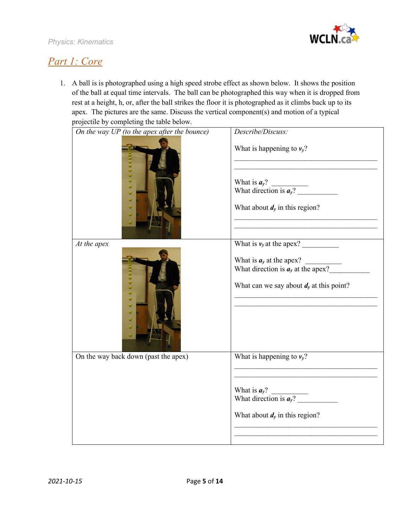

# *Part 1: Core*

1. A ball is is photographed using a high speed strobe effect as shown below. It shows the position of the ball at equal time intervals. The ball can be photographed this way when it is dropped from rest at a height, h, or, after the ball strikes the floor it is photographed as it climbs back up to its apex. The pictures are the same. Discuss the vertical component(s) and motion of a typical projectile by completing the table below.

| On the way UP (to the apex after the bounce) | Describe/Discuss:                                                                                                                   |
|----------------------------------------------|-------------------------------------------------------------------------------------------------------------------------------------|
|                                              | What is happening to $v_y$ ?<br>What is $a_y$ ?<br>What is $a_y$ ?<br>What direction is $a_y$ ?<br>What about $d_y$ in this region? |
| At the apex                                  | What is $v_y$ at the apex?                                                                                                          |
|                                              | What is $a_y$ at the apex?<br>What direction is $a_y$ at the apex?<br>What can we say about $dy$ at this point?                     |
| On the way back down (past the apex)         | What is happening to $v_v$ ?                                                                                                        |
|                                              | What is $a_y$ ?<br>What direction is $a_y$ ?<br>What about $d_y$ in this region?                                                    |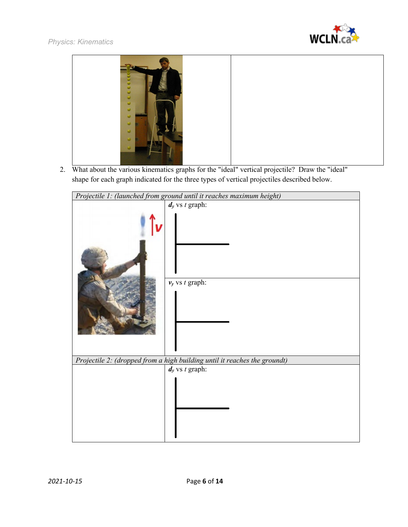



2. What about the various kinematics graphs for the "ideal" vertical projectile? Draw the "ideal" shape for each graph indicated for the three types of vertical projectiles described below.

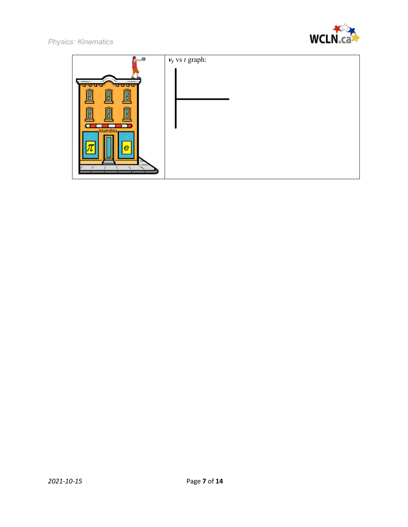



|                                                       | $v_y$ vs t graph: |
|-------------------------------------------------------|-------------------|
| uuu<br>নি<br>⋒<br>Î<br>Â<br>กิ<br>同<br>MathBits-<br>e |                   |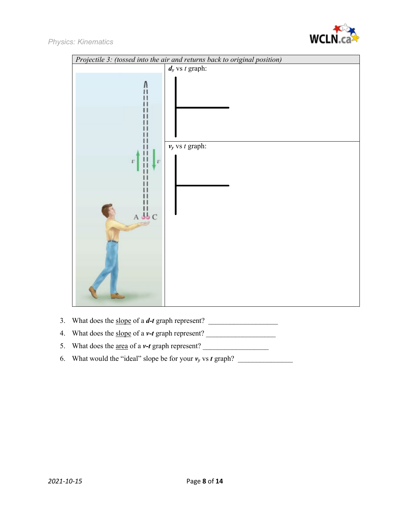

| Projectile 3: (tossed into the air and returns back to original position) |                     |  |
|---------------------------------------------------------------------------|---------------------|--|
|                                                                           | $d_y$ vs t graph:   |  |
|                                                                           |                     |  |
| $\boldsymbol{v}$<br>Đ<br>$A \overset{11}{\psi}C$                          | $v_y$ vs $t$ graph: |  |
|                                                                           |                     |  |

- 3. What does the <u>slope</u> of a *d*-*t* graph represent?
- 4. What does the slope of a *v-t* graph represent? \_\_\_\_\_\_\_\_\_\_\_\_\_\_\_\_\_\_\_
- 5. What does the area of a *v-t* graph represent? \_\_\_\_\_\_\_\_\_\_\_\_\_\_\_\_\_\_
- 6. What would the "ideal" slope be for your  $v_y$  vs *t* graph?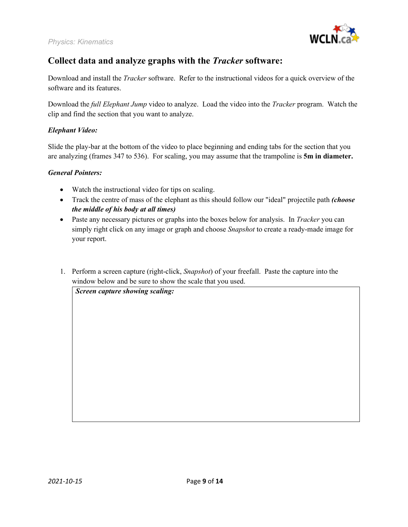

## **Collect data and analyze graphs with the** *Tracker* **software:**

Download and install the *Tracker* software. Refer to the instructional videos for a quick overview of the software and its features.

Download the *full Elephant Jump* video to analyze. Load the video into the *Tracker* program. Watch the clip and find the section that you want to analyze.

#### *Elephant Video:*

Slide the play-bar at the bottom of the video to place beginning and ending tabs for the section that you are analyzing (frames 347 to 536). For scaling, you may assume that the trampoline is **5m in diameter.**

#### *General Pointers:*

- Watch the instructional video for tips on scaling.
- Track the centre of mass of the elephant as this should follow our "ideal" projectile path *(choose the middle of his body at all times)*
- Paste any necessary pictures or graphs into the boxes below for analysis. In *Tracker* you can simply right click on any image or graph and choose *Snapshot* to create a ready-made image for your report.
- 1. Perform a screen capture (right-click, *Snapshot*) of your freefall. Paste the capture into the window below and be sure to show the scale that you used.

*Screen capture showing scaling:*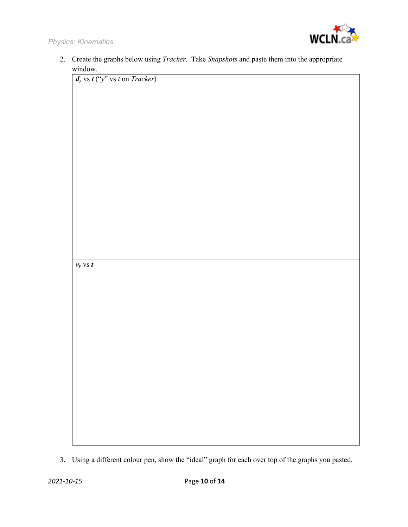

|         | 2. Create the graphs below using <i>Tracker</i> . Take <i>Snapshots</i> and paste them into the appropriate |
|---------|-------------------------------------------------------------------------------------------------------------|
| window. |                                                                                                             |

*dy* vs *t* ("*y*" vs *t* on *Tracker*)



<sup>3.</sup> Using a different colour pen, show the "ideal" graph for each over top of the graphs you pasted.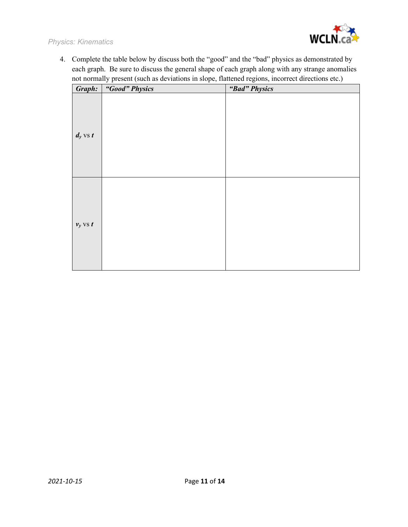

4. Complete the table below by discuss both the "good" and the "bad" physics as demonstrated by each graph. Be sure to discuss the general shape of each graph along with any strange anomalies not normally present (such as deviations in slope, flattened regions, incorrect directions etc.)

| Graph:       | "Good" Physics | "Bad" Physics |
|--------------|----------------|---------------|
| $d_y$ vs $t$ |                |               |
| $v_y$ vs $t$ |                |               |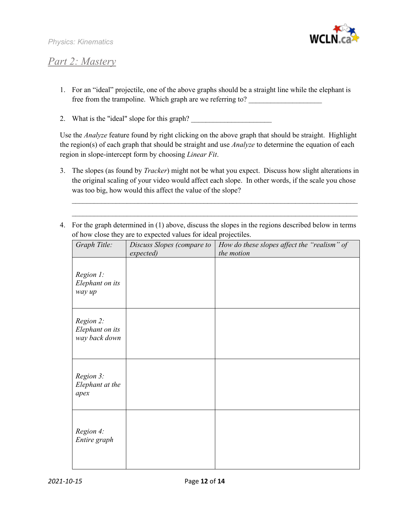

## *Part 2: Mastery*

- 1. For an "ideal" projectile, one of the above graphs should be a straight line while the elephant is free from the trampoline. Which graph are we referring to?
- 2. What is the "ideal" slope for this graph?

Use the *Analyze* feature found by right clicking on the above graph that should be straight. Highlight the region(s) of each graph that should be straight and use *Analyze* to determine the equation of each region in slope-intercept form by choosing *Linear Fit*.

3. The slopes (as found by *Tracker*) might not be what you expect. Discuss how slight alterations in the original scaling of your video would affect each slope. In other words, if the scale you chose was too big, how would this affect the value of the slope?

\_\_\_\_\_\_\_\_\_\_\_\_\_\_\_\_\_\_\_\_\_\_\_\_\_\_\_\_\_\_\_\_\_\_\_\_\_\_\_\_\_\_\_\_\_\_\_\_\_\_\_\_\_\_\_\_\_\_\_\_\_\_\_\_\_\_\_\_\_\_\_\_\_\_\_\_\_\_  $\_$  , and the contribution of the contribution of  $\mathcal{L}_\mathcal{A}$  , and the contribution of  $\mathcal{L}_\mathcal{A}$ 

4. For the graph determined in (1) above, discuss the slopes in the regions described below in terms of how close they are to expected values for ideal projectiles.

| Graph Title:                                  | Discuss Slopes (compare to | How do these slopes affect the "realism" of<br>the motion |
|-----------------------------------------------|----------------------------|-----------------------------------------------------------|
| Region 1:<br>Elephant on its<br>way up        | expected)                  |                                                           |
| Region 2:<br>Elephant on its<br>way back down |                            |                                                           |
| Region 3:<br>Elephant at the<br>apex          |                            |                                                           |
| Region 4:<br>Entire graph                     |                            |                                                           |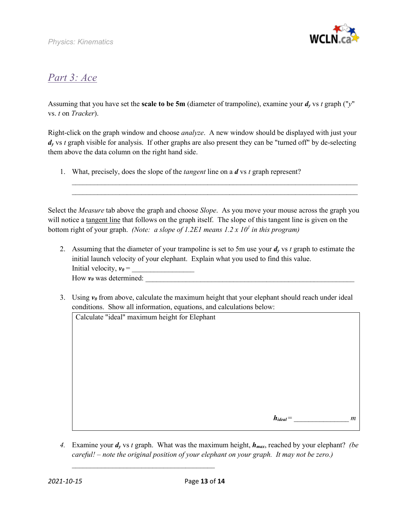

# *Part 3: Ace*

Assuming that you have set the **scale to be 5m** (diameter of trampoline), examine your *dy* vs *t* graph ("*y*" vs. *t* on *Tracker*).

Right-click on the graph window and choose *analyze*. A new window should be displayed with just your *dy* vs *t* graph visible for analysis. If other graphs are also present they can be "turned off" by de-selecting them above the data column on the right hand side.

1. What, precisely, does the slope of the *tangent* line on a *d* vs *t* graph represent?

Select the *Measure* tab above the graph and choose *Slope*. As you move your mouse across the graph you will notice a tangent line that follows on the graph itself. The slope of this tangent line is given on the bottom right of your graph. *(Note: a slope of 1.2E1 means 1.2 x 10<sup>1</sup> in this program)*

 $\_$  , and the set of the set of the set of the set of the set of the set of the set of the set of the set of the set of the set of the set of the set of the set of the set of the set of the set of the set of the set of th  $\_$ 

- 2. Assuming that the diameter of your trampoline is set to 5m use your  $d_y$  vs  $t$  graph to estimate the initial launch velocity of your elephant. Explain what you used to find this value. Initial velocity, *v0* = \_\_\_\_\_\_\_\_\_\_\_\_\_\_\_\_\_ How  $v_0$  was determined:
- 3. Using  $v_\theta$  from above, calculate the maximum height that your elephant should reach under ideal conditions. Show all information, equations, and calculations below:

Calculate "ideal" maximum height for Elephant

\_\_\_\_\_\_\_\_\_\_\_\_\_\_\_\_\_\_\_\_\_\_\_\_\_\_\_\_\_\_\_\_\_\_\_\_\_\_\_

 $h_{ideal}$  =  $m$ 

4. Examine your  $d_v$  vs *t* graph. What was the maximum height,  $h_{max}$ , reached by your elephant? *(be careful! – note the original position of your elephant on your graph. It may not be zero.)*